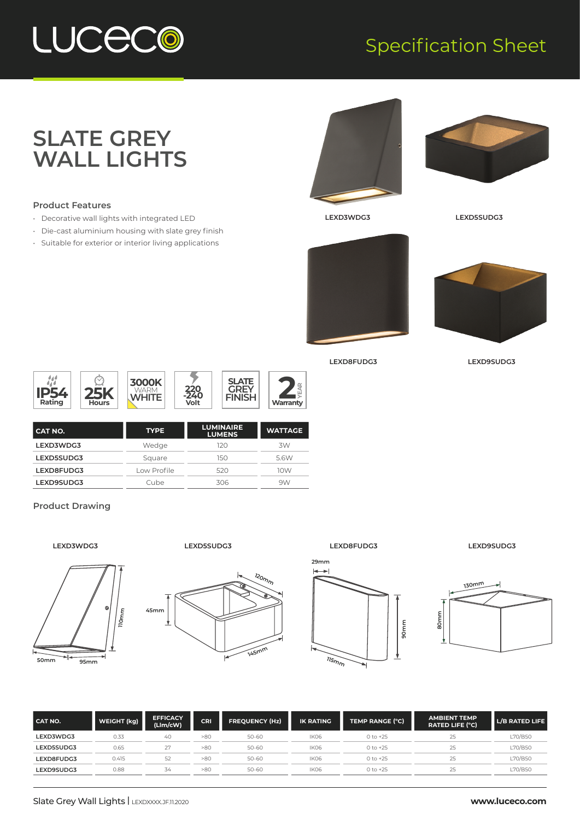## LUCECO

### Specification Sheet

### **SLATE GREY WALL LIGHTS**

#### **Product Features**

- Decorative wall lights with integrated LED
- Die-cast aluminium housing with slate grey finish
- Suitable for exterior or interior living applications





**LEXD3WDG3 LEXD5SUDG3**





**LEXD8FUDG3 LEXD9SUDG3**



| I CAT NO.  | <b>TYPE</b> | <b>LUMINAIRE</b><br><b>LUMENS</b> | <b>WATTAGE</b> |
|------------|-------------|-----------------------------------|----------------|
| LEXD3WDG3  | Wedge       | 120                               | 3W             |
| LEXD5SUDG3 | Square      | 150                               | 5.6W           |
| LEXD8FUDG3 | Low Profile | 520                               | 10W            |
| LEXD9SUDG3 | Cube        | 306                               | 9W             |

#### **Product Drawing**





**LEXD5SUDG3**



**LEXD8FUDG3**



**LEXD9SUDG3**



| <b>CAT NO.</b> | WEIGHT (kg) | <b>EFFICACY</b><br>(LIm/cW) | CRI | <b>FREQUENCY (Hz)</b> | <b>IK RATING</b> | TEMP RANGE (°C) | <b>AMBIENT TEMP</b><br><b>RATED LIFE (°C)</b> | L/B RATED LIFE |
|----------------|-------------|-----------------------------|-----|-----------------------|------------------|-----------------|-----------------------------------------------|----------------|
| LEXD3WDG3      | 0.33        | 40                          | >80 | $50 - 60$             | IK06             | $0$ to $+25$    | 25                                            | L70/B50        |
| LEXD5SUDG3     | 0.65        |                             | >80 | 50-60                 | IK06             | $0 to +25$      | 25                                            | L70/B50        |
| LEXD8FUDG3     | 0.415       | 52                          | >80 | $50 - 60$             | IKO <sub>6</sub> | $0$ to $+25$    |                                               | L70/B50        |
| LEXD9SUDG3     | 0.88        | 34                          | >80 | $50 - 60$             | IK06             | $0$ to $+25$    | 25                                            | L70/B50        |

#### Slate Grey Wall Lights | LEXDXXX.JF.11.2020

#### **www.luceco.com**